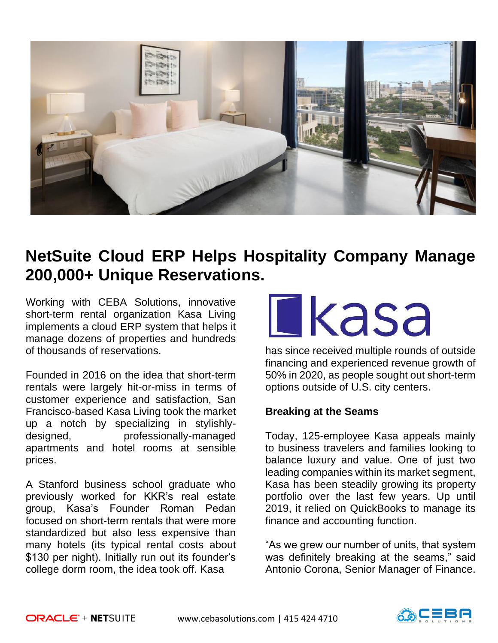

## **NetSuite Cloud ERP Helps Hospitality Company Manage 200,000+ Unique Reservations.**

Working with CEBA Solutions, innovative short-term rental organization Kasa Living implements a cloud ERP system that helps it manage dozens of properties and hundreds of thousands of reservations.

Founded in 2016 on the idea that short-term rentals were largely hit-or-miss in terms of customer experience and satisfaction, San Francisco-based Kasa Living took the market up a notch by specializing in stylishlydesigned, professionally-managed apartments and hotel rooms at sensible prices.

A Stanford business school graduate who previously worked for KKR's real estate group, Kasa's Founder Roman Pedan focused on short-term rentals that were more standardized but also less expensive than many hotels (its typical rental costs about \$130 per night). Initially run out its founder's college dorm room, the idea took off. Kasa

# **Ekasa**

has since received multiple rounds of outside financing and experienced revenue growth of 50% in 2020, as people sought out short-term options outside of U.S. city centers.

## **Breaking at the Seams**

Today, 125-employee Kasa appeals mainly to business travelers and families looking to balance luxury and value. One of just two leading companies within its market segment, Kasa has been steadily growing its property portfolio over the last few years. Up until 2019, it relied on QuickBooks to manage its finance and accounting function.

"As we grew our number of units, that system was definitely breaking at the seams," said Antonio Corona, Senior Manager of Finance.

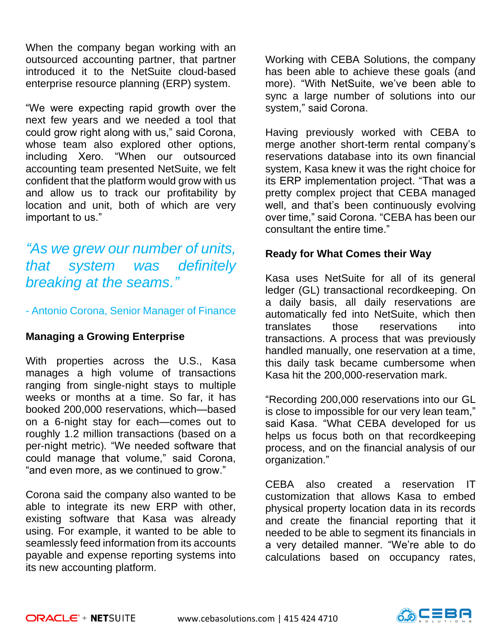When the company began working with an outsourced accounting partner, that partner introduced it to the NetSuite cloud-based enterprise resource planning (ERP) system.

"We were expecting rapid growth over the next few years and we needed a tool that could grow right along with us," said Corona, whose team also explored other options, including Xero. "When our outsourced accounting team presented NetSuite, we felt confident that the platform would grow with us and allow us to track our profitability by location and unit, both of which are very important to us."

## *"As we grew our number of units, that system was definitely breaking at the seams."*

### - Antonio Corona, Senior Manager of Finance

## **Managing a Growing Enterprise**

With properties across the U.S., Kasa manages a high volume of transactions ranging from single-night stays to multiple weeks or months at a time. So far, it has booked 200,000 reservations, which—based on a 6-night stay for each—comes out to roughly 1.2 million transactions (based on a per-night metric). "We needed software that could manage that volume," said Corona, "and even more, as we continued to grow."

Corona said the company also wanted to be able to integrate its new ERP with other, existing software that Kasa was already using. For example, it wanted to be able to seamlessly feed information from its accounts payable and expense reporting systems into its new accounting platform.

Working with CEBA Solutions, the company has been able to achieve these goals (and more). "With NetSuite, we've been able to sync a large number of solutions into our system," said Corona.

Having previously worked with CEBA to merge another short-term rental company's reservations database into its own financial system, Kasa knew it was the right choice for its ERP implementation project. "That was a pretty complex project that CEBA managed well, and that's been continuously evolving over time," said Corona. "CEBA has been our consultant the entire time."

### **Ready for What Comes their Way**

Kasa uses NetSuite for all of its general ledger (GL) transactional recordkeeping. On a daily basis, all daily reservations are automatically fed into NetSuite, which then translates those reservations into transactions. A process that was previously handled manually, one reservation at a time, this daily task became cumbersome when Kasa hit the 200,000-reservation mark.

"Recording 200,000 reservations into our GL is close to impossible for our very lean team," said Kasa. "What CEBA developed for us helps us focus both on that recordkeeping process, and on the financial analysis of our organization."

CEBA also created a reservation IT customization that allows Kasa to embed physical property location data in its records and create the financial reporting that it needed to be able to segment its financials in a very detailed manner. "We're able to do calculations based on occupancy rates,